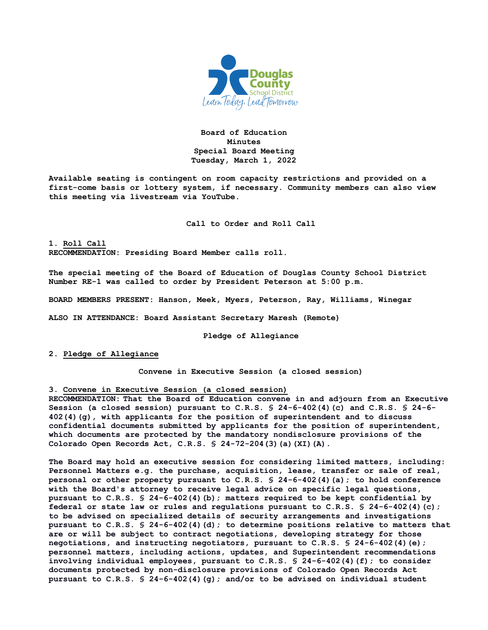

**Board of Education Minutes Special Board Meeting Tuesday, March 1, 2022**

**Available seating is contingent on room capacity restrictions and provided on a first-come basis or lottery system, if necessary. Community members can also view this meeting via livestream via YouTube.**

**Call to Order and Roll Call**

**1. Roll Call RECOMMENDATION: Presiding Board Member calls roll.** 

**The special meeting of the Board of Education of Douglas County School District Number RE-1 was called to order by President Peterson at 5:00 p.m.**

**BOARD MEMBERS PRESENT: Hanson, Meek, Myers, Peterson, Ray, Williams, Winegar**

**ALSO IN ATTENDANCE: Board Assistant Secretary Maresh (Remote)**

**Pledge of Allegiance**

**2. Pledge of Allegiance**

**Convene in Executive Session (a closed session)**

**3. Convene in Executive Session (a closed session)**

**RECOMMENDATION: That the Board of Education convene in and adjourn from an Executive Session (a closed session) pursuant to C.R.S. § 24-6-402(4)(c) and C.R.S. § 24-6- 402(4)(g), with applicants for the position of superintendent and to discuss confidential documents submitted by applicants for the position of superintendent, which documents are protected by the mandatory nondisclosure provisions of the Colorado Open Records Act, C.R.S. § 24-72-204(3)(a)(XI)(A).**

**The Board may hold an executive session for considering limited matters, including: Personnel Matters e.g. the purchase, acquisition, lease, transfer or sale of real, personal or other property pursuant to C.R.S. § 24-6-402(4)(a); to hold conference with the Board's attorney to receive legal advice on specific legal questions, pursuant to C.R.S. § 24-6-402(4)(b); matters required to be kept confidential by federal or state law or rules and regulations pursuant to C.R.S. § 24-6-402(4)(c); to be advised on specialized details of security arrangements and investigations pursuant to C.R.S. § 24-6-402(4)(d); to determine positions relative to matters that are or will be subject to contract negotiations, developing strategy for those negotiations, and instructing negotiators, pursuant to C.R.S. § 24-6-402(4)(e); personnel matters, including actions, updates, and Superintendent recommendations involving individual employees, pursuant to C.R.S. § 24-6-402(4)(f); to consider documents protected by non-disclosure provisions of Colorado Open Records Act pursuant to C.R.S. § 24-6-402(4)(g); and/or to be advised on individual student**